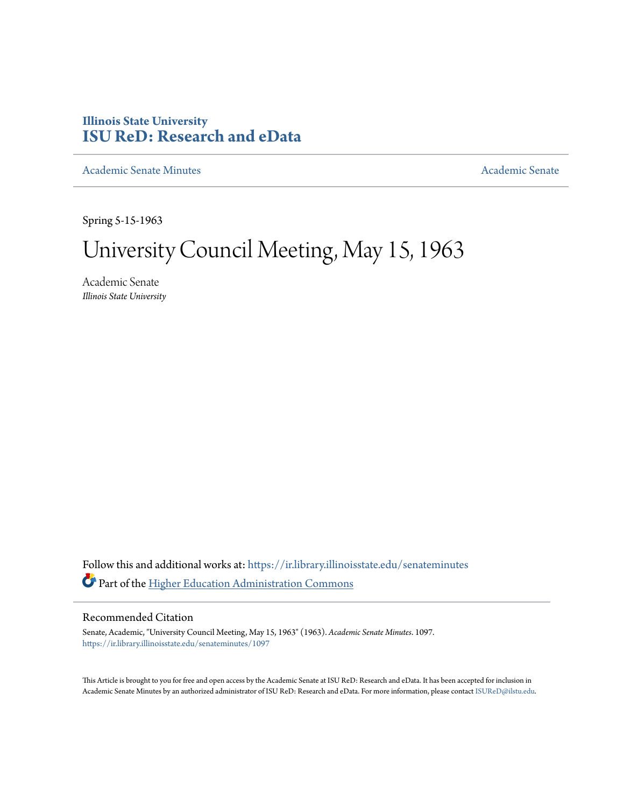# **Illinois State University [ISU ReD: Research and eData](https://ir.library.illinoisstate.edu?utm_source=ir.library.illinoisstate.edu%2Fsenateminutes%2F1097&utm_medium=PDF&utm_campaign=PDFCoverPages)**

[Academic Senate Minutes](https://ir.library.illinoisstate.edu/senateminutes?utm_source=ir.library.illinoisstate.edu%2Fsenateminutes%2F1097&utm_medium=PDF&utm_campaign=PDFCoverPages) [Academic Senate](https://ir.library.illinoisstate.edu/senate?utm_source=ir.library.illinoisstate.edu%2Fsenateminutes%2F1097&utm_medium=PDF&utm_campaign=PDFCoverPages) Academic Senate

Spring 5-15-1963

# University Council Meeting, May 15, 1963

Academic Senate *Illinois State University*

Follow this and additional works at: [https://ir.library.illinoisstate.edu/senateminutes](https://ir.library.illinoisstate.edu/senateminutes?utm_source=ir.library.illinoisstate.edu%2Fsenateminutes%2F1097&utm_medium=PDF&utm_campaign=PDFCoverPages) Part of the [Higher Education Administration Commons](http://network.bepress.com/hgg/discipline/791?utm_source=ir.library.illinoisstate.edu%2Fsenateminutes%2F1097&utm_medium=PDF&utm_campaign=PDFCoverPages)

# Recommended Citation

Senate, Academic, "University Council Meeting, May 15, 1963" (1963). *Academic Senate Minutes*. 1097. [https://ir.library.illinoisstate.edu/senateminutes/1097](https://ir.library.illinoisstate.edu/senateminutes/1097?utm_source=ir.library.illinoisstate.edu%2Fsenateminutes%2F1097&utm_medium=PDF&utm_campaign=PDFCoverPages)

This Article is brought to you for free and open access by the Academic Senate at ISU ReD: Research and eData. It has been accepted for inclusion in Academic Senate Minutes by an authorized administrator of ISU ReD: Research and eData. For more information, please contact [ISUReD@ilstu.edu.](mailto:ISUReD@ilstu.edu)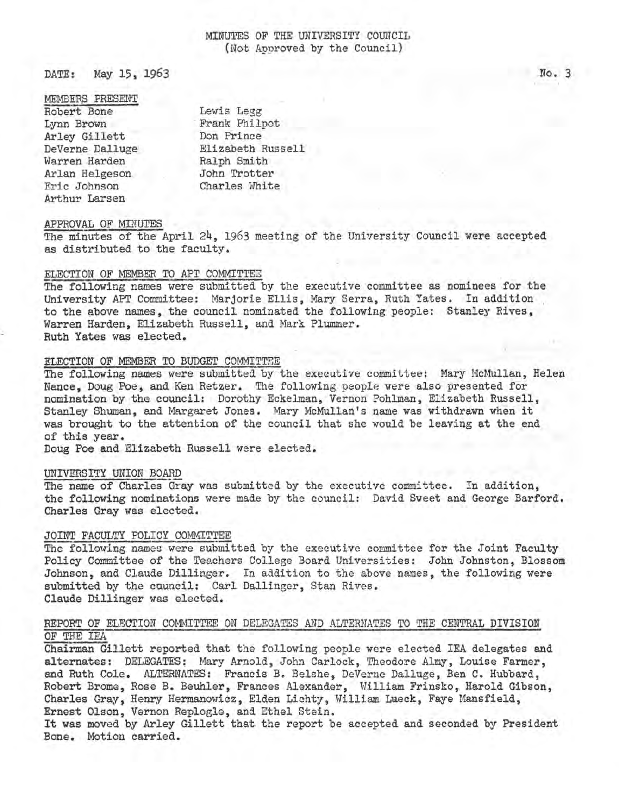## MINUTES OF THE UNIVERSITY COUNCIL (Not Approved by the Council)

DATE: May 15, 1963

MEMBERS PRESENT Robert Bone Lynn Brown Arley Gillett DeVerne Dalluge· Warren Harden Arlan Helgeson Eric Johnson Arthur Larsen

Lewis Legg Frank Philpot Don Prince Elizabeth Russell Ralph Smith John Trotter Charles White

#### APPROVAL OF MINUTES

The minutes of the April 24, 1963 meeting of the University Council were accepted as distributed to the faculty.

#### ELECTION OF MEMBER TO APT COMMITTEE

The following names were submitted by the executive committee as nominees for the University APT Committee: Marjorie Ellis, Mary Serra, Ruth Yates. In addition to the above names, the council nominated the following people: Stanley Rives, Warren Harden, Elizabeth Russell, and Mark Plummer. Ruth Yates was elected.

#### ELECTION OF MEMBER TO BUDGET COMMITTEE

The following names were submitted by the executive committee: Mary McMullan, Helen Nance, Doug Poe, and Ken Retzer. The following people were also presented for nomination by the council: Dorothy Eckelman, Vernon Pohlman, Elizabeth Russell, Stanley Shuman, and Margaret Jones. Mary McMullan's name was withdrawn when it was brought to the attention of the council that she would be leaving at the end of this year.<br>Doug Poe and Elizabeth Russell were elected.

#### UNIVERSITY UNION BOARD

The name of Charles Gray was submitted by the executive committee. In addition, the following nominations were made by the council: David Sweet and George Barford. Charles Gray was elected.

### JOINT FACULTY POLICY COMMITTEE

The following names were submitted by the executive committee for the Joint Faculty Policy Committee of the Teachers College Board Universities: John Johnston, Blossom Johnson, and Claude Dillinger. In addition to the above names, the following were submitted by the council: Carl Dallinger, Stan Rives. Claude Dillinger was elected.

## REPORT OF ELECTION COMMITTEE ON DELEGATES AND ALTERNATES TO THE CENTRAL DIVISION OF THE IEA

Chairman Gillett reported that the following people were elected IEA delegates and alternates: DELEGATES; Mary Arnold, John Carlock, Theodore Almy, Louise Farmer, and Ruth Cole. ALTERNATES: Francis B. Belshe, DeVerne Dalluge, Ben C. Hubbard, Robert Brome, Rose B. Beuhler, Frances Alexander, William Frinsko, Harold Gibson, Charles Gray, Henry Hermanowicz, Elden Lichty, William Lueck, Faye Mansfield, Ernest Olson, Vernon Replogle, and Ethel Stein.

It was moved by Arley Gillett that the report be accepted and seconded by President Bone. Motion carried.

 $No. 3$